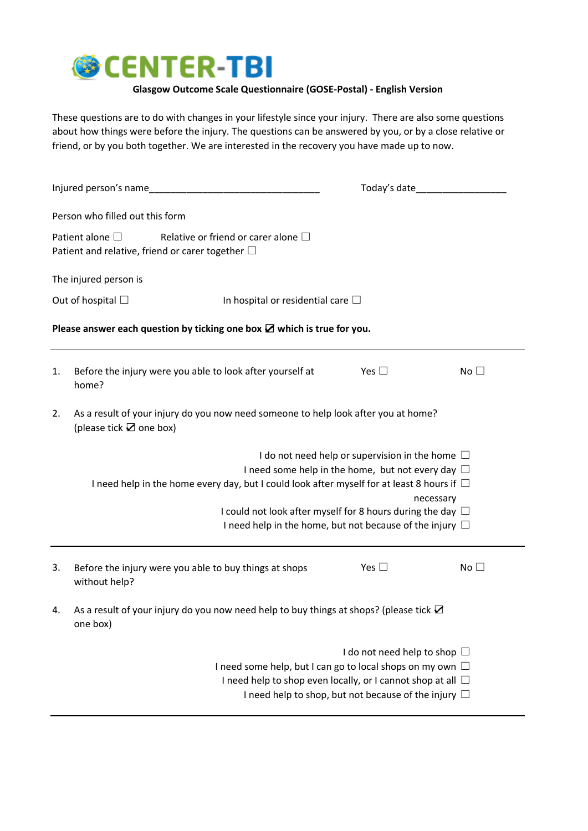

## **Glasgow Outcome Scale Questionnaire (GOSE-Postal) - English Version**

These questions are to do with changes in your lifestyle since your injury. There are also some questions about how things were before the injury. The questions can be answered by you, or by a close relative or friend, or by you both together. We are interested in the recovery you have made up to now.

| Injured person's name                                                             |                                                                                                                              |                                                                  | Today's date                      |                 |  |  |  |  |
|-----------------------------------------------------------------------------------|------------------------------------------------------------------------------------------------------------------------------|------------------------------------------------------------------|-----------------------------------|-----------------|--|--|--|--|
|                                                                                   | Person who filled out this form                                                                                              |                                                                  |                                   |                 |  |  |  |  |
|                                                                                   | Patient alone $\square$<br>Relative or friend or carer alone $\Box$<br>Patient and relative, friend or carer together $\Box$ |                                                                  |                                   |                 |  |  |  |  |
| The injured person is                                                             |                                                                                                                              |                                                                  |                                   |                 |  |  |  |  |
| Out of hospital $\Box$<br>In hospital or residential care $\square$               |                                                                                                                              |                                                                  |                                   |                 |  |  |  |  |
| Please answer each question by ticking one box $\boxtimes$ which is true for you. |                                                                                                                              |                                                                  |                                   |                 |  |  |  |  |
| 1.                                                                                | Before the injury were you able to look after yourself at<br>home?                                                           |                                                                  | Yes $\square$                     | No <sub>1</sub> |  |  |  |  |
| 2.                                                                                | As a result of your injury do you now need someone to help look after you at home?<br>(please tick $\mathbf Z$ one box)      |                                                                  |                                   |                 |  |  |  |  |
|                                                                                   | I do not need help or supervision in the home $\Box$                                                                         |                                                                  |                                   |                 |  |  |  |  |
|                                                                                   |                                                                                                                              | I need some help in the home, but not every day $\Box$           |                                   |                 |  |  |  |  |
|                                                                                   | I need help in the home every day, but I could look after myself for at least 8 hours if $\Box$                              |                                                                  |                                   |                 |  |  |  |  |
|                                                                                   |                                                                                                                              |                                                                  | necessary                         |                 |  |  |  |  |
|                                                                                   | I could not look after myself for 8 hours during the day $\Box$                                                              |                                                                  |                                   |                 |  |  |  |  |
|                                                                                   |                                                                                                                              | I need help in the home, but not because of the injury $\Box$    |                                   |                 |  |  |  |  |
| 3.                                                                                | Before the injury were you able to buy things at shops<br>without help?                                                      |                                                                  | Yes $\square$                     | No $\square$    |  |  |  |  |
| 4.                                                                                | As a result of your injury do you now need help to buy things at shops? (please tick ☑<br>one box)                           |                                                                  |                                   |                 |  |  |  |  |
|                                                                                   |                                                                                                                              |                                                                  | I do not need help to shop $\Box$ |                 |  |  |  |  |
|                                                                                   |                                                                                                                              | I need some help, but I can go to local shops on my own $\Box$   |                                   |                 |  |  |  |  |
|                                                                                   |                                                                                                                              | I need help to shop even locally, or I cannot shop at all $\Box$ |                                   |                 |  |  |  |  |
|                                                                                   |                                                                                                                              | I need help to shop, but not because of the injury $\Box$        |                                   |                 |  |  |  |  |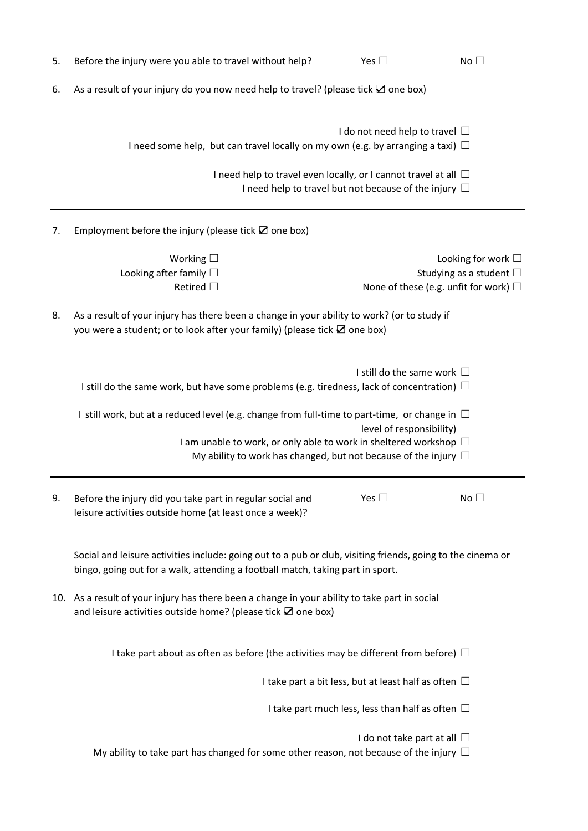| 5. | Before the injury were you able to travel without help?                                                                                                                                                                                                                          | Yes $\square$                                 | No <sub>1</sub>                                               |  |  |  |
|----|----------------------------------------------------------------------------------------------------------------------------------------------------------------------------------------------------------------------------------------------------------------------------------|-----------------------------------------------|---------------------------------------------------------------|--|--|--|
| 6. | As a result of your injury do you now need help to travel? (please tick <b>Z</b> one box)                                                                                                                                                                                        |                                               |                                                               |  |  |  |
|    | I do not need help to travel $\Box$<br>I need some help, but can travel locally on my own (e.g. by arranging a taxi) $\Box$<br>I need help to travel even locally, or I cannot travel at all $\Box$<br>I need help to travel but not because of the injury $\Box$                |                                               |                                                               |  |  |  |
|    |                                                                                                                                                                                                                                                                                  |                                               |                                                               |  |  |  |
| 7. |                                                                                                                                                                                                                                                                                  |                                               |                                                               |  |  |  |
|    | Working $\square$<br>Looking after family $\Box$<br>Retired $\Box$                                                                                                                                                                                                               | None of these (e.g. unfit for work) $\square$ | Looking for work $\square$<br>Studying as a student $\square$ |  |  |  |
| 8. | As a result of your injury has there been a change in your ability to work? (or to study if<br>you were a student; or to look after your family) (please tick $\boxtimes$ one box)                                                                                               |                                               |                                                               |  |  |  |
|    | I still do the same work $\Box$<br>I still do the same work, but have some problems (e.g. tiredness, lack of concentration) $\Box$                                                                                                                                               |                                               |                                                               |  |  |  |
|    | I still work, but at a reduced level (e.g. change from full-time to part-time, or change in $\Box$<br>level of responsibility)<br>I am unable to work, or only able to work in sheltered workshop $\Box$<br>My ability to work has changed, but not because of the injury $\Box$ |                                               |                                                               |  |  |  |
| 9. | Before the injury did you take part in regular social and<br>leisure activities outside home (at least once a week)?                                                                                                                                                             | Yes $\square$                                 | No <sub>1</sub>                                               |  |  |  |
|    | Social and leisure activities include: going out to a pub or club, visiting friends, going to the cinema or<br>bingo, going out for a walk, attending a football match, taking part in sport.                                                                                    |                                               |                                                               |  |  |  |
|    | 10. As a result of your injury has there been a change in your ability to take part in social<br>and leisure activities outside home? (please tick <b>Z</b> one box)                                                                                                             |                                               |                                                               |  |  |  |
|    | I take part about as often as before (the activities may be different from before) $\Box$                                                                                                                                                                                        |                                               |                                                               |  |  |  |
|    | I take part a bit less, but at least half as often $\Box$                                                                                                                                                                                                                        |                                               |                                                               |  |  |  |
|    | I take part much less, less than half as often $\Box$                                                                                                                                                                                                                            |                                               |                                                               |  |  |  |
|    | My ability to take part has changed for some other reason, not because of the injury $\Box$                                                                                                                                                                                      | I do not take part at all $\Box$              |                                                               |  |  |  |